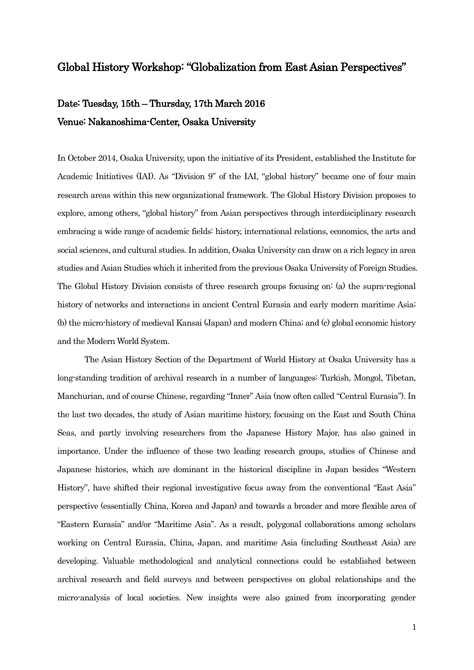### Global History Workshop: "Globalization from East Asian Perspectives"

## Date: Tuesday, 15th – Thursday, 17th March 2016 Venue: Nakanoshima-Center, Osaka University

In October 2014, Osaka University, upon the initiative of its President, established the Institute for Academic Initiatives (IAI). As "Division 9" of the IAI, "global history" became one of four main research areas within this new organizational framework. The Global History Division proposes to explore, among others, "global history" from Asian perspectives through interdisciplinary research embracing a wide range of academic fields: history, international relations, economics, the arts and social sciences, and cultural studies. In addition, Osaka University can draw on a rich legacy in area studies and Asian Studies which it inherited from the previous Osaka University of Foreign Studies. The Global History Division consists of three research groups focusing on: (a) the supra-regional history of networks and interactions in ancient Central Eurasia and early modern maritime Asia; (b) the micro-history of medieval Kansai (Japan) and modern China; and (c) global economic history and the Modern World System.

The Asian History Section of the Department of World History at Osaka University has a long-standing tradition of archival research in a number of languages: Turkish, Mongol, Tibetan, Manchurian, and of course Chinese, regarding "Inner" Asia (now often called "Central Eurasia"). In the last two decades, the study of Asian maritime history, focusing on the East and South China Seas, and partly involving researchers from the Japanese History Major, has also gained in importance. Under the influence of these two leading research groups, studies of Chinese and Japanese histories, which are dominant in the historical discipline in Japan besides "Western History", have shifted their regional investigative focus away from the conventional "East Asia" perspective (essentially China, Korea and Japan) and towards a broader and more flexible area of "Eastern Eurasia" and/or "Maritime Asia". As a result, polygonal collaborations among scholars working on Central Eurasia, China, Japan, and maritime Asia (including Southeast Asia) are developing. Valuable methodological and analytical connections could be established between archival research and field surveys and between perspectives on global relationships and the micro-analysis of local societies. New insights were also gained from incorporating gender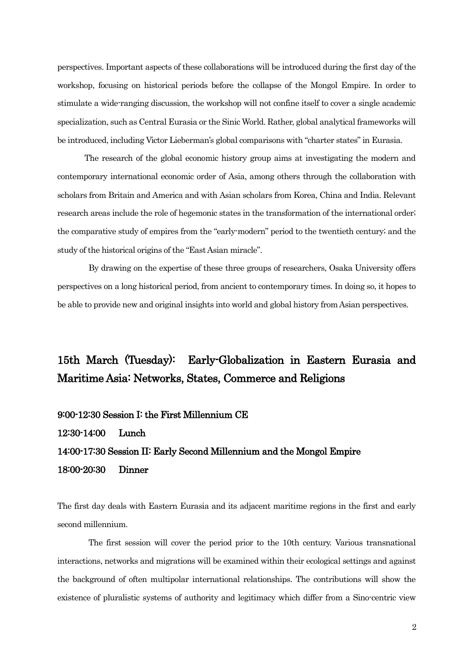perspectives. Important aspects of these collaborations will be introduced during the first day of the workshop, focusing on historical periods before the collapse of the Mongol Empire. In order to stimulate a wide-ranging discussion, the workshop will not confine itself to cover a single academic specialization, such as Central Eurasia or the Sinic World. Rather, global analytical frameworks will be introduced, including Victor Lieberman's global comparisons with "charter states" in Eurasia.

 The research of the global economic history group aims at investigating the modern and contemporary international economic order of Asia, among others through the collaboration with scholars from Britain and America and with Asian scholars from Korea, China and India. Relevant research areas include the role of hegemonic states in the transformation of the international order; the comparative study of empires from the "early-modern" period to the twentieth century; and the study of the historical origins of the "East Asian miracle".

By drawing on the expertise of these three groups of researchers, Osaka University offers perspectives on a long historical period, from ancient to contemporary times. In doing so, it hopes to be able to provide new and original insights into world and global history fromAsian perspectives.

## 15th March (Tuesday): Early-Globalization in Eastern Eurasia and Maritime Asia: Networks, States, Commerce and Religions

#### 9:00-12:30 Session I: the First Millennium CE

12:30-14:00 Lunch

### 14:00-17:30 Session II: Early Second Millennium and the Mongol Empire 18:00-20:30 Dinner

The first day deals with Eastern Eurasia and its adjacent maritime regions in the first and early second millennium.

The first session will cover the period prior to the 10th century. Various transnational interactions, networks and migrations will be examined within their ecological settings and against the background of often multipolar international relationships. The contributions will show the existence of pluralistic systems of authority and legitimacy which differ from a Sino-centric view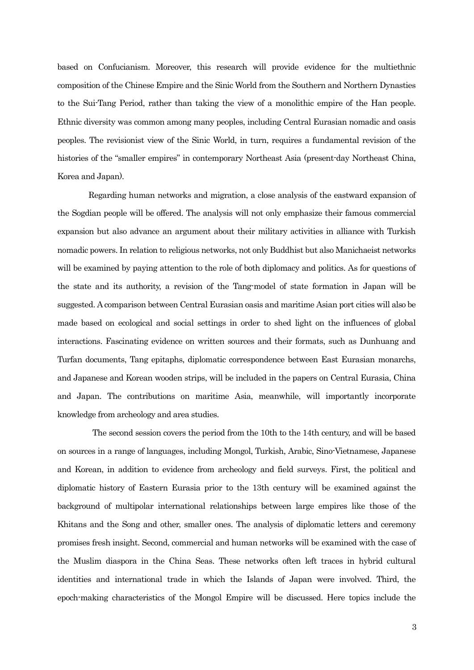based on Confucianism. Moreover, this research will provide evidence for the multiethnic composition of the Chinese Empire and the Sinic World from the Southern and Northern Dynasties to the Sui-Tang Period, rather than taking the view of a monolithic empire of the Han people. Ethnic diversity was common among many peoples, including Central Eurasian nomadic and oasis peoples. The revisionist view of the Sinic World, in turn, requires a fundamental revision of the histories of the "smaller empires" in contemporary Northeast Asia (present-day Northeast China, Korea and Japan).

Regarding human networks and migration, a close analysis of the eastward expansion of the Sogdian people will be offered. The analysis will not only emphasize their famous commercial expansion but also advance an argument about their military activities in alliance with Turkish nomadic powers. In relation to religious networks, not only Buddhist but also Manichaeist networks will be examined by paying attention to the role of both diplomacy and politics. As for questions of the state and its authority, a revision of the Tang-model of state formation in Japan will be suggested. A comparison between Central Eurasian oasis and maritime Asian port cities will also be made based on ecological and social settings in order to shed light on the influences of global interactions. Fascinating evidence on written sources and their formats, such as Dunhuang and Turfan documents, Tang epitaphs, diplomatic correspondence between East Eurasian monarchs, and Japanese and Korean wooden strips, will be included in the papers on Central Eurasia, China and Japan. The contributions on maritime Asia, meanwhile, will importantly incorporate knowledge from archeology and area studies.

The second session covers the period from the 10th to the 14th century, and will be based on sources in a range of languages, including Mongol, Turkish, Arabic, Sino-Vietnamese, Japanese and Korean, in addition to evidence from archeology and field surveys. First, the political and diplomatic history of Eastern Eurasia prior to the 13th century will be examined against the background of multipolar international relationships between large empires like those of the Khitans and the Song and other, smaller ones. The analysis of diplomatic letters and ceremony promises fresh insight. Second, commercial and human networks will be examined with the case of the Muslim diaspora in the China Seas. These networks often left traces in hybrid cultural identities and international trade in which the Islands of Japan were involved. Third, the epoch-making characteristics of the Mongol Empire will be discussed. Here topics include the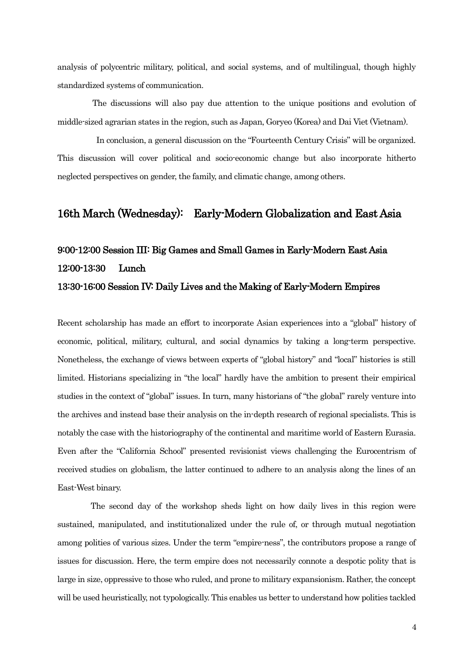analysis of polycentric military, political, and social systems, and of multilingual, though highly standardized systems of communication.

The discussions will also pay due attention to the unique positions and evolution of middle-sized agrarian states in the region, such as Japan, Goryeo (Korea) and Dai Viet (Vietnam).

 In conclusion, a general discussion on the "Fourteenth Century Crisis" will be organized. This discussion will cover political and socio-economic change but also incorporate hitherto neglected perspectives on gender, the family, and climatic change, among others.

### 16th March (Wednesday): Early-Modern Globalization and East Asia

# 9:00-12:00 Session III: Big Games and Small Games in Early-Modern East Asia 12:00-13:30 Lunch 13:30-16:00 Session IV: Daily Lives and the Making of Early-Modern Empires

Recent scholarship has made an effort to incorporate Asian experiences into a "global" history of economic, political, military, cultural, and social dynamics by taking a long-term perspective. Nonetheless, the exchange of views between experts of "global history" and "local" histories is still limited. Historians specializing in "the local" hardly have the ambition to present their empirical studies in the context of "global" issues. In turn, many historians of "the global" rarely venture into the archives and instead base their analysis on the in-depth research of regional specialists. This is notably the case with the historiography of the continental and maritime world of Eastern Eurasia. Even after the "California School" presented revisionist views challenging the Eurocentrism of received studies on globalism, the latter continued to adhere to an analysis along the lines of an East-West binary.

The second day of the workshop sheds light on how daily lives in this region were sustained, manipulated, and institutionalized under the rule of, or through mutual negotiation among polities of various sizes. Under the term "empire-ness", the contributors propose a range of issues for discussion. Here, the term empire does not necessarily connote a despotic polity that is large in size, oppressive to those who ruled, and prone to military expansionism. Rather, the concept will be used heuristically, not typologically. This enables us better to understand how polities tackled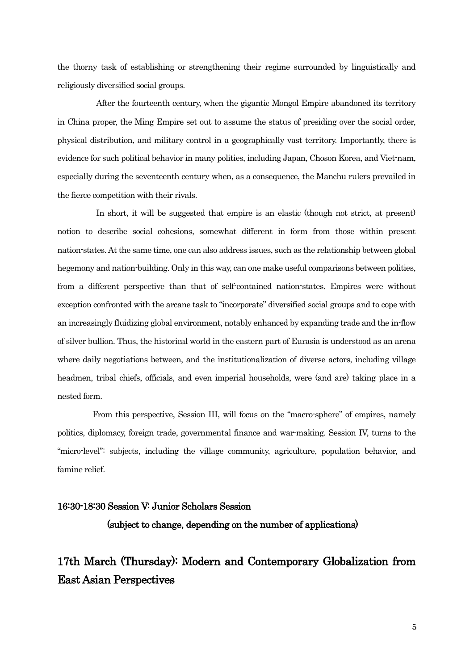the thorny task of establishing or strengthening their regime surrounded by linguistically and religiously diversified social groups.

After the fourteenth century, when the gigantic Mongol Empire abandoned its territory in China proper, the Ming Empire set out to assume the status of presiding over the social order, physical distribution, and military control in a geographically vast territory. Importantly, there is evidence for such political behavior in many polities, including Japan, Choson Korea, and Viet-nam, especially during the seventeenth century when, as a consequence, the Manchu rulers prevailed in the fierce competition with their rivals.

In short, it will be suggested that empire is an elastic (though not strict, at present) notion to describe social cohesions, somewhat different in form from those within present nation-states. At the same time, one can also address issues, such as the relationship between global hegemony and nation-building. Only in this way, can one make useful comparisons between polities, from a different perspective than that of self-contained nation-states. Empires were without exception confronted with the arcane task to "incorporate" diversified social groups and to cope with an increasingly fluidizing global environment, notably enhanced by expanding trade and the in-flow of silver bullion. Thus, the historical world in the eastern part of Eurasia is understood as an arena where daily negotiations between, and the institutionalization of diverse actors, including village headmen, tribal chiefs, officials, and even imperial households, were (and are) taking place in a nested form.

From this perspective, Session III, will focus on the "macro-sphere" of empires, namely politics, diplomacy, foreign trade, governmental finance and war-making. Session IV, turns to the "micro-level": subjects, including the village community, agriculture, population behavior, and famine relief.

# 16:30-18:30 Session V: Junior Scholars Session (subject to change, depending on the number of applications)

## 17th March (Thursday): Modern and Contemporary Globalization from East Asian Perspectives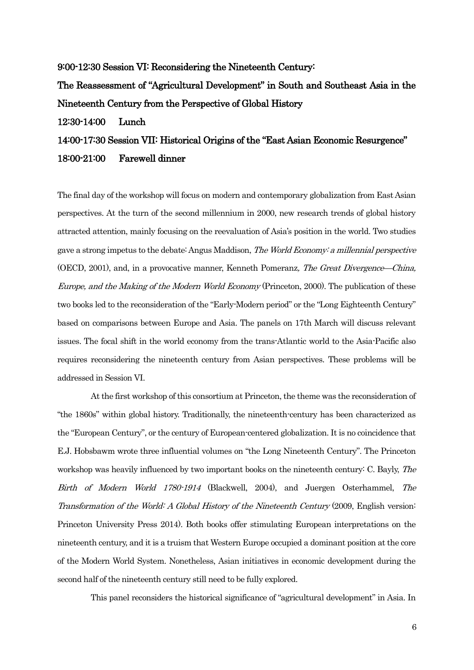9:00-12:30 Session VI: Reconsidering the Nineteenth Century:

The Reassessment of "Agricultural Development" in South and Southeast Asia in the Nineteenth Century from the Perspective of Global History

12:30-14:00 Lunch

### 14:00-17:30 Session VII: Historical Origins of the "East Asian Economic Resurgence" 18:00-21:00 Farewell dinner

The final day of the workshop will focus on modern and contemporary globalization from East Asian perspectives. At the turn of the second millennium in 2000, new research trends of global history attracted attention, mainly focusing on the reevaluation of Asia's position in the world. Two studies gave a strong impetus to the debate: Angus Maddison, The World Economy: a millennial perspective (OECD, 2001), and, in a provocative manner, Kenneth Pomeranz, The Great Divergence—China, Europe, and the Making of the Modern World Economy (Princeton, 2000). The publication of these two books led to the reconsideration of the "Early-Modern period" or the "Long Eighteenth Century" based on comparisons between Europe and Asia. The panels on 17th March will discuss relevant issues. The focal shift in the world economy from the trans-Atlantic world to the Asia-Pacific also requires reconsidering the nineteenth century from Asian perspectives. These problems will be addressed in Session VI.

At the first workshop of this consortium at Princeton, the theme was the reconsideration of "the 1860s" within global history. Traditionally, the nineteenth-century has been characterized as the "European Century", or the century of European-centered globalization. It is no coincidence that E.J. Hobsbawm wrote three influential volumes on "the Long Nineteenth Century". The Princeton workshop was heavily influenced by two important books on the nineteenth century: C. Bayly, The Birth of Modern World 1780-1914 (Blackwell, 2004), and Juergen Osterhammel, The Transformation of the World: A Global History of the Nineteenth Century (2009, English version: Princeton University Press 2014). Both books offer stimulating European interpretations on the nineteenth century, and it is a truism that Western Europe occupied a dominant position at the core of the Modern World System. Nonetheless, Asian initiatives in economic development during the second half of the nineteenth century still need to be fully explored.

This panel reconsiders the historical significance of "agricultural development" in Asia. In